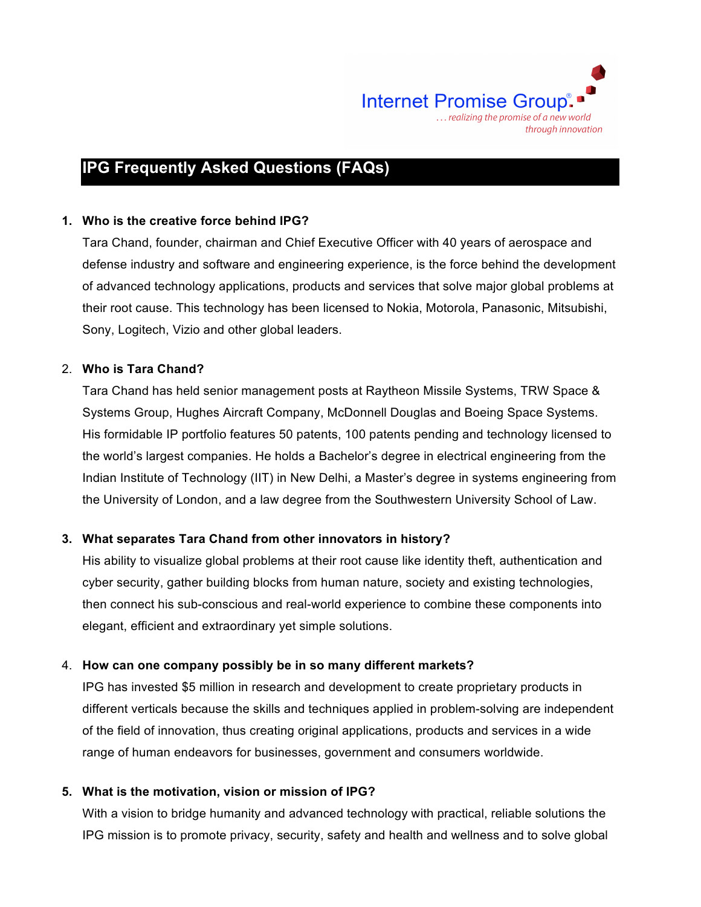

# **IPG Frequently Asked Questions (FAQs)**

## **1. Who is the creative force behind IPG?**

Tara Chand, founder, chairman and Chief Executive Officer with 40 years of aerospace and defense industry and software and engineering experience, is the force behind the development of advanced technology applications, products and services that solve major global problems at their root cause. This technology has been licensed to Nokia, Motorola, Panasonic, Mitsubishi, Sony, Logitech, Vizio and other global leaders.

#### 2. **Who is Tara Chand?**

Tara Chand has held senior management posts at Raytheon Missile Systems, TRW Space & Systems Group, Hughes Aircraft Company, McDonnell Douglas and Boeing Space Systems. His formidable IP portfolio features 50 patents, 100 patents pending and technology licensed to the world's largest companies. He holds a Bachelor's degree in electrical engineering from the Indian Institute of Technology (IIT) in New Delhi, a Master's degree in systems engineering from the University of London, and a law degree from the Southwestern University School of Law.

# **3. What separates Tara Chand from other innovators in history?**

His ability to visualize global problems at their root cause like identity theft, authentication and cyber security, gather building blocks from human nature, society and existing technologies, then connect his sub-conscious and real-world experience to combine these components into elegant, efficient and extraordinary yet simple solutions.

# 4. **How can one company possibly be in so many different markets?**

IPG has invested \$5 million in research and development to create proprietary products in different verticals because the skills and techniques applied in problem-solving are independent of the field of innovation, thus creating original applications, products and services in a wide range of human endeavors for businesses, government and consumers worldwide.

#### **5. What is the motivation, vision or mission of IPG?**

With a vision to bridge humanity and advanced technology with practical, reliable solutions the IPG mission is to promote privacy, security, safety and health and wellness and to solve global